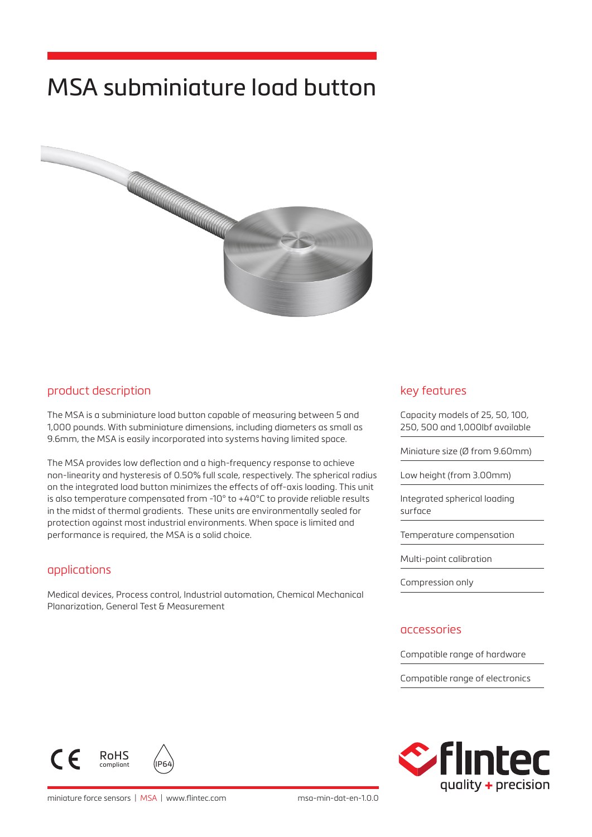# MSA subminiature load button



### product description

The MSA is a subminiature load button capable of measuring between 5 and 1,000 pounds. With subminiature dimensions, including diameters as small as 9.6mm, the MSA is easily incorporated into systems having limited space.

The MSA provides low deflection and a high-frequency response to achieve non-linearity and hysteresis of 0.50% full scale, respectively. The spherical radius on the integrated load button minimizes the effects of off-axis loading. This unit is also temperature compensated from -10° to +40°C to provide reliable results in the midst of thermal gradients. These units are environmentally sealed for protection against most industrial environments. When space is limited and performance is required, the MSA is a solid choice.

### applications

Medical devices, Process control, Industrial automation, Chemical Mechanical Planarization, General Test & Measurement

### key features

Capacity models of 25, 50, 100, 250, 500 and 1,000lbf available Miniature size (Ø from 9.60mm) Low height (from 3.00mm) Integrated spherical loading surface Temperature compensation Multi-point calibration Compression only

#### accessories

Compatible range of hardware

Compatible range of electronics





miniature force sensors | MSA | www.flintec.com msa-min-dat-en-1.0.0

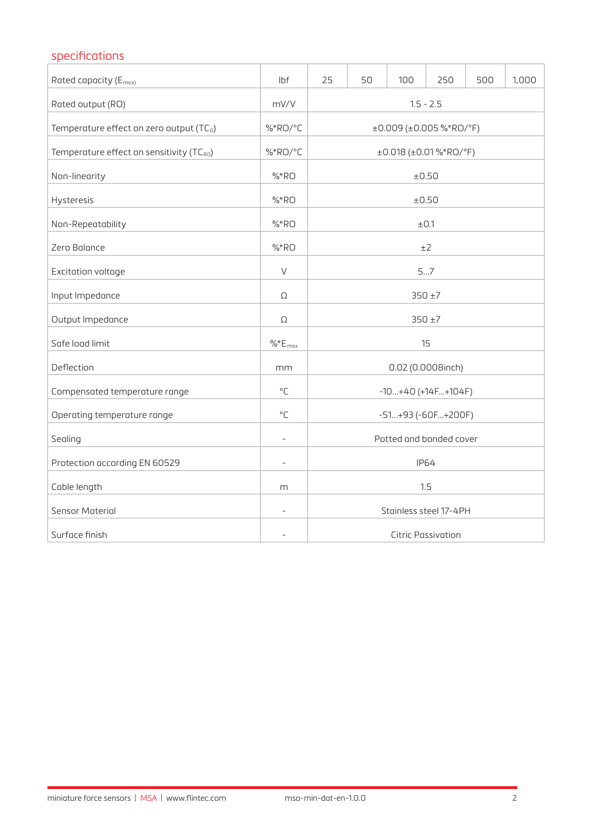## specifications Rated capacity (Emax) lbf 25 50 100 250 500 1,000 Rated output (RO) and the control of the control of the mV/V 1.5 - 2.5 and 1.5 - 2.5 Temperature effect on zero output  $(TC_0)$   $\begin{array}{ccc} \text{\%}^*RO/C \end{array}$   $\begin{array}{ccc} \text{\#} & \text{\#} & \text{\#} & \text{\#} & \text{\#} & \text{\#} & \text{\#} & \text{\#} & \text{\#} & \text{\#} & \text{\#} & \text{\#} & \text{\#} \text{\#} & \text{\#} & \text{\#} & \text{\#} & \text{\#} & \text{\#} & \text{\#} & \text{\#} & \text{\#} & \text{\#} & \text{\#} & \text{\#$ Temperature effect on sensitivity (TC<sub>R0</sub>)  $\left|\frac{9}{6}R_0\right|^{\circ}C$   $\left|\frac{10.018 \times 0.018^{\circ} \text{R0}}{2.010}\right|^{\circ}$ Non-linearity  $\frac{1}{2}$  +0.50 Hysteresis %\*RO ±0.50 Non-Repeatability  $\%$ \*RO  $\pm$ 0.1  $\blacksquare$  Zero Balance  $\blacksquare$   $\blacksquare$   $\blacksquare$   $\blacksquare$   $\blacksquare$   $\blacksquare$   $\blacksquare$   $\blacksquare$   $\blacksquare$   $\blacksquare$   $\blacksquare$   $\blacksquare$   $\blacksquare$   $\blacksquare$   $\blacksquare$   $\blacksquare$   $\blacksquare$   $\blacksquare$   $\blacksquare$   $\blacksquare$   $\blacksquare$   $\blacksquare$   $\blacksquare$   $\blacksquare$   $\blacksquare$   $\blacksquare$   $\blacksquare$   $\blacksquare$   $\blacksquare$ Excitation voltage **Excitation voltage S**...7 Input Impedance 350 ±7 Output Impedance 250 ±7 Safe load limit  $\frac{96}{5}E_{\text{max}}$  15 Deflection mm 0.02 (0.0008inch) Compensated temperature range  $\begin{bmatrix} \cdot & \cdot & \cdot \\ \cdot & \cdot & \cdot \end{bmatrix}$   $\begin{bmatrix} \cdot & \cdot & \cdot \\ \cdot & \cdot & \cdot \end{bmatrix}$  -10...+40 (+14F...+104F) Operating temperature range  $\begin{array}{ccc} \vert & \circ \subset & \vert & \hspace{1.5cm} \vert & \hspace{1.5cm} \circ \end{array}$  -51...+93 (-60F...+200F) Sealing and the extension of the extended of the Potted and bonded cover Protection according EN 60529 **IP64** - IP64 Cable length m 1.5 Sensor Material and Stainless steel 17-4PH Surface finish and the contract of the contract of the contract of the contract of the Citric Passivation